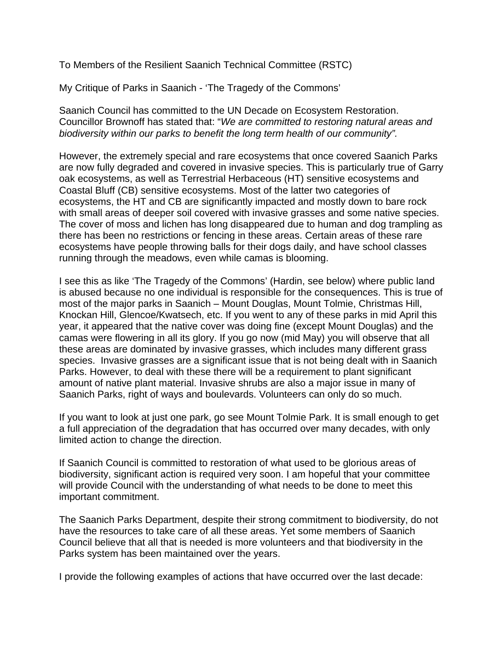To Members of the Resilient Saanich Technical Committee (RSTC)

My Critique of Parks in Saanich - 'The Tragedy of the Commons'

Saanich Council has committed to the UN Decade on Ecosystem Restoration. Councillor Brownoff has stated that: "*We are committed to restoring natural areas and biodiversity within our parks to benefit the long term health of our community".* 

However, the extremely special and rare ecosystems that once covered Saanich Parks are now fully degraded and covered in invasive species. This is particularly true of Garry oak ecosystems, as well as Terrestrial Herbaceous (HT) sensitive ecosystems and Coastal Bluff (CB) sensitive ecosystems. Most of the latter two categories of ecosystems, the HT and CB are significantly impacted and mostly down to bare rock with small areas of deeper soil covered with invasive grasses and some native species. The cover of moss and lichen has long disappeared due to human and dog trampling as there has been no restrictions or fencing in these areas. Certain areas of these rare ecosystems have people throwing balls for their dogs daily, and have school classes running through the meadows, even while camas is blooming.

I see this as like 'The Tragedy of the Commons' (Hardin, see below) where public land is abused because no one individual is responsible for the consequences. This is true of most of the major parks in Saanich – Mount Douglas, Mount Tolmie, Christmas Hill, Knockan Hill, Glencoe/Kwatsech, etc. If you went to any of these parks in mid April this year, it appeared that the native cover was doing fine (except Mount Douglas) and the camas were flowering in all its glory. If you go now (mid May) you will observe that all these areas are dominated by invasive grasses, which includes many different grass species. Invasive grasses are a significant issue that is not being dealt with in Saanich Parks. However, to deal with these there will be a requirement to plant significant amount of native plant material. Invasive shrubs are also a major issue in many of Saanich Parks, right of ways and boulevards. Volunteers can only do so much.

If you want to look at just one park, go see Mount Tolmie Park. It is small enough to get a full appreciation of the degradation that has occurred over many decades, with only limited action to change the direction.

If Saanich Council is committed to restoration of what used to be glorious areas of biodiversity, significant action is required very soon. I am hopeful that your committee will provide Council with the understanding of what needs to be done to meet this important commitment.

The Saanich Parks Department, despite their strong commitment to biodiversity, do not have the resources to take care of all these areas. Yet some members of Saanich Council believe that all that is needed is more volunteers and that biodiversity in the Parks system has been maintained over the years.

I provide the following examples of actions that have occurred over the last decade: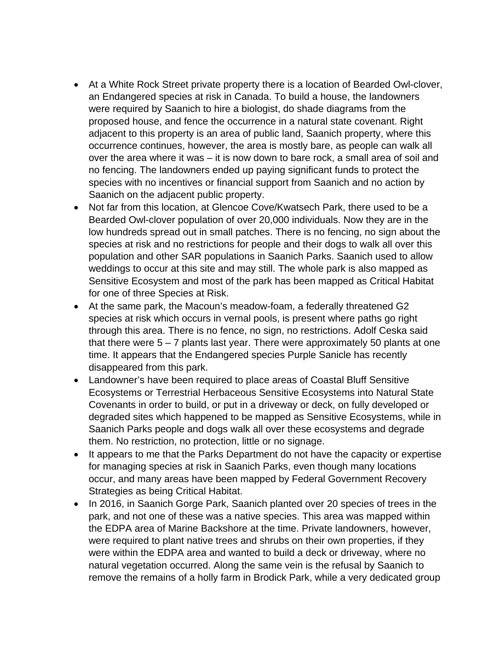- At a White Rock Street private property there is a location of Bearded Owl-clover, an Endangered species at risk in Canada. To build a house, the landowners were required by Saanich to hire a biologist, do shade diagrams from the proposed house, and fence the occurrence in a natural state covenant. Right adjacent to this property is an area of public land, Saanich property, where this occurrence continues, however, the area is mostly bare, as people can walk all over the area where it was – it is now down to bare rock, a small area of soil and no fencing. The landowners ended up paying significant funds to protect the species with no incentives or financial support from Saanich and no action by Saanich on the adjacent public property.
- Not far from this location, at Glencoe Cove/Kwatsech Park, there used to be a Bearded Owl-clover population of over 20,000 individuals. Now they are in the low hundreds spread out in small patches. There is no fencing, no sign about the species at risk and no restrictions for people and their dogs to walk all over this population and other SAR populations in Saanich Parks. Saanich used to allow weddings to occur at this site and may still. The whole park is also mapped as Sensitive Ecosystem and most of the park has been mapped as Critical Habitat for one of three Species at Risk.
- At the same park, the Macoun's meadow-foam, a federally threatened G2 species at risk which occurs in vernal pools, is present where paths go right through this area. There is no fence, no sign, no restrictions. Adolf Ceska said that there were  $5 - 7$  plants last year. There were approximately 50 plants at one time. It appears that the Endangered species Purple Sanicle has recently disappeared from this park.
- Landowner's have been required to place areas of Coastal Bluff Sensitive Ecosystems or Terrestrial Herbaceous Sensitive Ecosystems into Natural State Covenants in order to build, or put in a driveway or deck, on fully developed or degraded sites which happened to be mapped as Sensitive Ecosystems, while in Saanich Parks people and dogs walk all over these ecosystems and degrade them. No restriction, no protection, little or no signage.
- It appears to me that the Parks Department do not have the capacity or expertise for managing species at risk in Saanich Parks, even though many locations occur, and many areas have been mapped by Federal Government Recovery Strategies as being Critical Habitat.
- In 2016, in Saanich Gorge Park, Saanich planted over 20 species of trees in the park, and not one of these was a native species. This area was mapped within the EDPA area of Marine Backshore at the time. Private landowners, however, were required to plant native trees and shrubs on their own properties, if they were within the EDPA area and wanted to build a deck or driveway, where no natural vegetation occurred. Along the same vein is the refusal by Saanich to remove the remains of a holly farm in Brodick Park, while a very dedicated group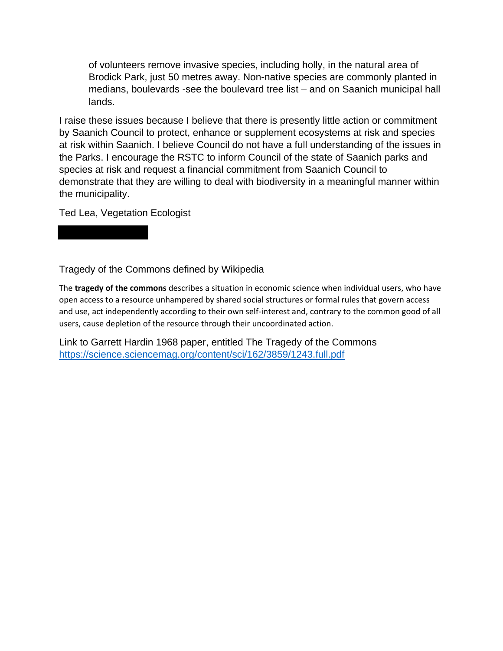of volunteers remove invasive species, including holly, in the natural area of Brodick Park, just 50 metres away. Non-native species are commonly planted in medians, boulevards -see the boulevard tree list – and on Saanich municipal hall lands.

I raise these issues because I believe that there is presently little action or commitment by Saanich Council to protect, enhance or supplement ecosystems at risk and species at risk within Saanich. I believe Council do not have a full understanding of the issues in the Parks. I encourage the RSTC to inform Council of the state of Saanich parks and species at risk and request a financial commitment from Saanich Council to demonstrate that they are willing to deal with biodiversity in a meaningful manner within the municipality.

Ted Lea, Vegetation Ecologist

Tragedy of the Commons defined by Wikipedia

The **tragedy of the commons** describes a situation in economic science when individual users, who have open access to a resource unhampered by shared social structures or formal rules that govern access and use, act independently according to their own self-interest and, contrary to the common good of all users, cause depletion of the resource through their uncoordinated action.

Link to Garrett Hardin 1968 paper, entitled The Tragedy of the Commons https://science.sciencemag.org/content/sci/162/3859/1243.full.pdf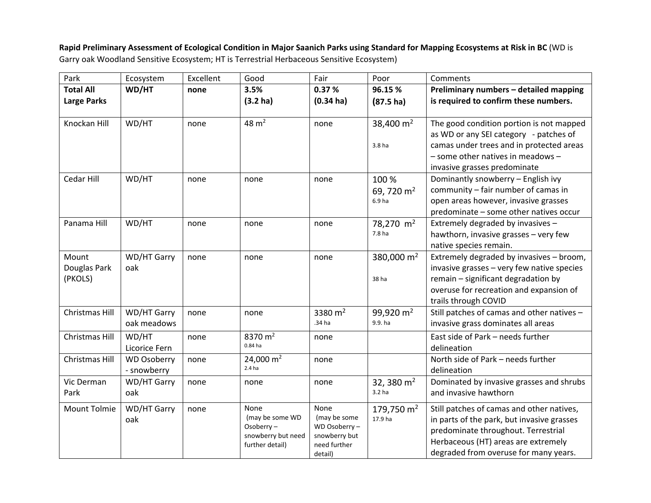Rapid Preliminary Assessment of Ecological Condition in Major Saanich Parks using Standard for Mapping Ecosystems at Risk in BC (WD is Garry oak Woodland Sensitive Ecosystem; HT is Terrestrial Herbaceous Sensitive Ecosystem)

| Park               | Ecosystem          | Excellent | Good                             | Fair                         | Poor                              | Comments                                                                   |
|--------------------|--------------------|-----------|----------------------------------|------------------------------|-----------------------------------|----------------------------------------------------------------------------|
| <b>Total All</b>   | WD/HT              | none      | 3.5%                             | 0.37%                        | 96.15 %                           | Preliminary numbers - detailed mapping                                     |
| <b>Large Parks</b> |                    |           | (3.2 <sub>ha</sub> )             | $(0.34 \text{ ha})$          | $(87.5)$ ha)                      | is required to confirm these numbers.                                      |
| Knockan Hill       | WD/HT              | none      | $48 \text{ m}^2$                 | none                         | 38,400 $m2$                       | The good condition portion is not mapped                                   |
|                    |                    |           |                                  |                              |                                   | as WD or any SEI category - patches of                                     |
|                    |                    |           |                                  |                              | 3.8 ha                            | camas under trees and in protected areas                                   |
|                    |                    |           |                                  |                              |                                   | $-$ some other natives in meadows $-$                                      |
|                    |                    |           |                                  |                              |                                   | invasive grasses predominate                                               |
| Cedar Hill         | WD/HT              | none      | none                             | none                         | 100 %                             | Dominantly snowberry - English ivy                                         |
|                    |                    |           |                                  |                              | 69, 720 $m2$                      | community - fair number of camas in                                        |
|                    |                    |           |                                  |                              | 6.9 <sub>ha</sub>                 | open areas however, invasive grasses                                       |
| Panama Hill        | WD/HT              |           |                                  |                              |                                   | predominate - some other natives occur                                     |
|                    |                    | none      | none                             | none                         | 78,270 m <sup>2</sup><br>7.8 ha   | Extremely degraded by invasives -<br>hawthorn, invasive grasses - very few |
|                    |                    |           |                                  |                              |                                   | native species remain.                                                     |
| Mount              | <b>WD/HT Garry</b> | none      | none                             | none                         | 380,000 $m2$                      | Extremely degraded by invasives - broom,                                   |
| Douglas Park       | oak                |           |                                  |                              |                                   | invasive grasses - very few native species                                 |
| (PKOLS)            |                    |           |                                  |                              | 38 ha                             | remain - significant degradation by                                        |
|                    |                    |           |                                  |                              |                                   | overuse for recreation and expansion of                                    |
|                    |                    |           |                                  |                              |                                   | trails through COVID                                                       |
| Christmas Hill     | WD/HT Garry        | none      | none                             | 3380 $m2$                    | 99,920 $m2$                       | Still patches of camas and other natives -                                 |
|                    | oak meadows        |           |                                  | .34 ha                       | 9.9. ha                           | invasive grass dominates all areas                                         |
| Christmas Hill     | WD/HT              | none      | 8370 $m2$                        | none                         |                                   | East side of Park - needs further                                          |
|                    | Licorice Fern      |           | $0.84$ ha                        |                              |                                   | delineation                                                                |
| Christmas Hill     | <b>WD Osoberry</b> | none      | 24,000 $m2$<br>2.4 <sub>ha</sub> | none                         |                                   | North side of Park - needs further                                         |
|                    | - snowberry        |           |                                  |                              |                                   | delineation                                                                |
| Vic Derman<br>Park | WD/HT Garry        | none      | none                             | none                         | 32, 380 $m2$<br>3.2 <sub>ha</sub> | Dominated by invasive grasses and shrubs<br>and invasive hawthorn          |
|                    | oak                |           |                                  |                              |                                   |                                                                            |
| Mount Tolmie       | WD/HT Garry        | none      | None                             | None                         | 179,750 $m2$                      | Still patches of camas and other natives,                                  |
|                    | oak                |           | (may be some WD<br>Osoberry-     | (may be some<br>WD Osoberry- | 17.9 ha                           | in parts of the park, but invasive grasses                                 |
|                    |                    |           | snowberry but need               | snowberry but                |                                   | predominate throughout. Terrestrial                                        |
|                    |                    |           | further detail)                  | need further                 |                                   | Herbaceous (HT) areas are extremely                                        |
|                    |                    |           |                                  | detail)                      |                                   | degraded from overuse for many years.                                      |